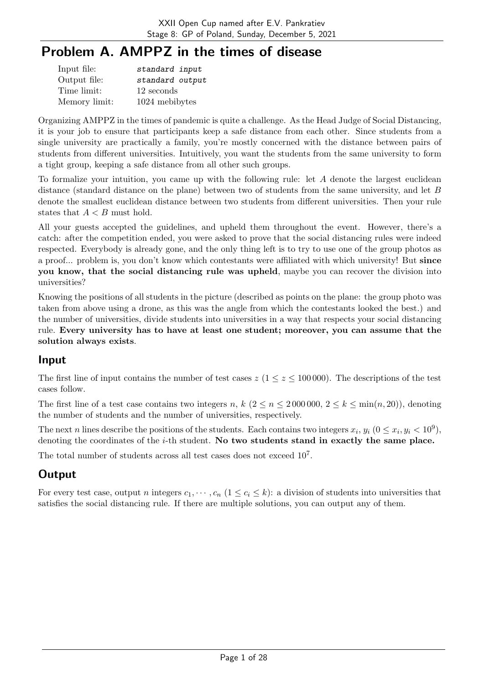# Problem A. AMPPZ in the times of disease

| Input file:   | standard input  |
|---------------|-----------------|
| Output file:  | standard output |
| Time limit:   | 12 seconds      |
| Memory limit: | 1024 mebibytes  |

Organizing AMPPZ in the times of pandemic is quite a challenge. As the Head Judge of Social Distancing, it is your job to ensure that participants keep a safe distance from each other. Since students from a single university are practically a family, you're mostly concerned with the distance between pairs of students from different universities. Intuitively, you want the students from the same university to form a tight group, keeping a safe distance from all other such groups.

To formalize your intuition, you came up with the following rule: let  $A$  denote the largest euclidean distance (standard distance on the plane) between two of students from the same university, and let  $B$ denote the smallest euclidean distance between two students from different universities. Then your rule states that  $A < B$  must hold.

All your guests accepted the guidelines, and upheld them throughout the event. However, there's a catch: after the competition ended, you were asked to prove that the social distancing rules were indeed respected. Everybody is already gone, and the only thing left is to try to use one of the group photos as a proof... problem is, you don't know which contestants were affiliated with which university! But since you know, that the social distancing rule was upheld, maybe you can recover the division into universities?

Knowing the positions of all students in the picture (described as points on the plane: the group photo was taken from above using a drone, as this was the angle from which the contestants looked the best.) and the number of universities, divide students into universities in a way that respects your social distancing rule. Every university has to have at least one student; moreover, you can assume that the solution always exists.

## Input

The first line of input contains the number of test cases  $z (1 \le z \le 100000)$ . The descriptions of the test cases follow.

The first line of a test case contains two integers n,  $k$   $(2 \le n \le 2000000, 2 \le k \le \min(n, 20))$ , denoting the number of students and the number of universities, respectively.

The next *n* lines describe the positions of the students. Each contains two integers  $x_i$ ,  $y_i$   $(0 \le x_i, y_i < 10^9)$ , denoting the coordinates of the  $i$ -th student. No two students stand in exactly the same place.

The total number of students across all test cases does not exceed  $10<sup>7</sup>$ .

# **Output**

For every test case, output *n* integers  $c_1, \dots, c_n$   $(1 \leq c_i \leq k)$ : a division of students into universities that satisfies the social distancing rule. If there are multiple solutions, you can output any of them.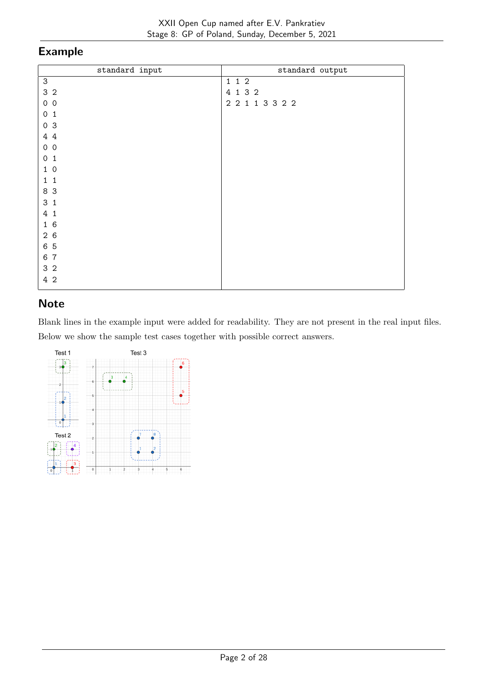| standard input                             | standard output |
|--------------------------------------------|-----------------|
| $\ensuremath{\mathsf{3}}$                  | 1 1 2           |
| 3 <sub>2</sub>                             | 4 1 3 2         |
| $0\quad 0$                                 | 2 2 1 1 3 3 2 2 |
| $\mathsf{O}\xspace$<br>$\mathbf{1}$        |                 |
| 0 <sup>3</sup>                             |                 |
| 44                                         |                 |
| $\mathsf{O}\xspace$<br>$\mathsf{O}\xspace$ |                 |
| $\mathsf{O}$<br>$\mathbf{1}$               |                 |
| $\mathbf 0$<br>$\mathbf{1}$                |                 |
| $\mathbf{1}$<br>1                          |                 |
| 8 3                                        |                 |
| 3 <sub>1</sub>                             |                 |
| 4<br>$\mathbf{1}$                          |                 |
| 16                                         |                 |
| 26                                         |                 |
| 6 5                                        |                 |
| $\overline{7}$<br>6                        |                 |
| 3 <sub>2</sub>                             |                 |
| $\overline{2}$<br>4                        |                 |

## **Note**

Blank lines in the example input were added for readability. They are not present in the real input files. Below we show the sample test cases together with possible correct answers.

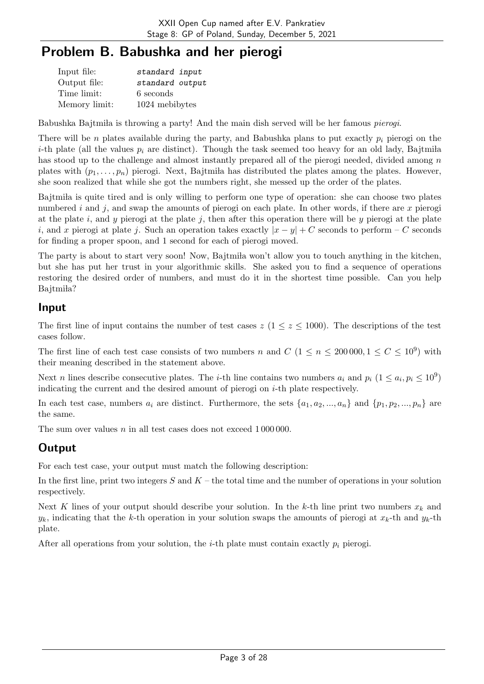# Problem B. Babushka and her pierogi

| Input file:   | standard input  |
|---------------|-----------------|
| Output file:  | standard output |
| Time limit:   | 6 seconds       |
| Memory limit: | 1024 mebibytes  |

Babushka Bajtmila is throwing a party! And the main dish served will be her famous *pierogi*.

There will be *n* plates available during the party, and Babushka plans to put exactly  $p_i$  pierogi on the *i*-th plate (all the values  $p_i$  are distinct). Though the task seemed too heavy for an old lady, Bajtmiia has stood up to the challenge and almost instantly prepared all of the pierogi needed, divided among  $n$ plates with  $(p_1, \ldots, p_n)$  pierogi. Next, Bajtmila has distributed the plates among the plates. However, she soon realized that while she got the numbers right, she messed up the order of the plates.

Bajtmila is quite tired and is only willing to perform one type of operation: she can choose two plates numbered  $i$  and  $j$ , and swap the amounts of pierogi on each plate. In other words, if there are  $x$  pierogi at the plate i, and y pierogi at the plate j, then after this operation there will be y pierogi at the plate i, and x pierogi at plate j. Such an operation takes exactly  $|x - y| + C$  seconds to perform – C seconds for finding a proper spoon, and 1 second for each of pierogi moved.

The party is about to start very soon! Now, Bajtmila won't allow you to touch anything in the kitchen, but she has put her trust in your algorithmic skills. She asked you to find a sequence of operations restoring the desired order of numbers, and must do it in the shortest time possible. Can you help Bajtmiła?

#### Input

The first line of input contains the number of test cases  $z$  ( $1 \leq z \leq 1000$ ). The descriptions of the test cases follow.

The first line of each test case consists of two numbers *n* and  $C$  ( $1 \le n \le 200000, 1 \le C \le 10^9$ ) with their meaning described in the statement above.

Next *n* lines describe consecutive plates. The *i*-th line contains two numbers  $a_i$  and  $p_i$   $(1 \le a_i, p_i \le 10^9)$ indicating the current and the desired amount of pierogi on  $i$ -th plate respectively.

In each test case, numbers  $a_i$  are distinct. Furthermore, the sets  $\{a_1, a_2, ..., a_n\}$  and  $\{p_1, p_2, ..., p_n\}$  are the same.

The sum over values  $n$  in all test cases does not exceed  $1\,000\,000$ .

## **Output**

For each test case, your output must match the following description:

In the first line, print two integers  $S$  and  $K$  – the total time and the number of operations in your solution respectively.

Next K lines of your output should describe your solution. In the k-th line print two numbers  $x_k$  and  $y_k$ , indicating that the k-th operation in your solution swaps the amounts of pierogi at  $x_k$ -th and  $y_k$ -th plate.

After all operations from your solution, the *i*-th plate must contain exactly  $p_i$  pierogi.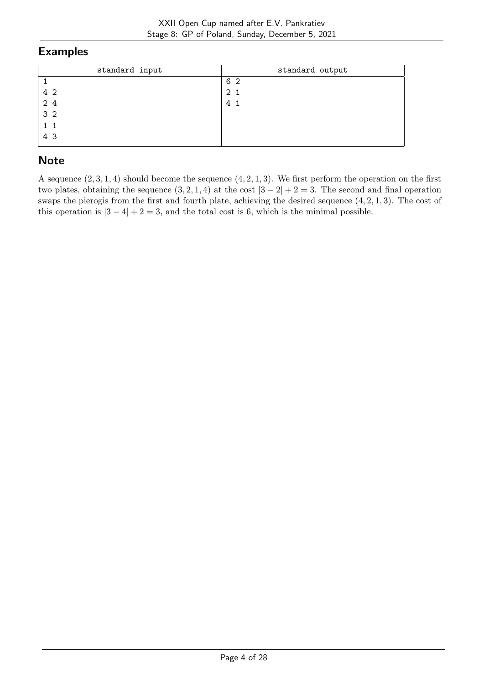| standard input | standard output |
|----------------|-----------------|
|                | 6 2             |
| 4 2            | 2 <sub>1</sub>  |
| 24             | 4 1             |
| 3 <sub>2</sub> |                 |
| 1 1            |                 |
| 4 3            |                 |

## **Note**

A sequence  $(2, 3, 1, 4)$  should become the sequence  $(4, 2, 1, 3)$ . We first perform the operation on the first two plates, obtaining the sequence  $(3, 2, 1, 4)$  at the cost  $|3 - 2| + 2 = 3$ . The second and final operation swaps the pierogis from the first and fourth plate, achieving the desired sequence  $(4, 2, 1, 3)$ . The cost of this operation is  $|3 - 4| + 2 = 3$ , and the total cost is 6, which is the minimal possible.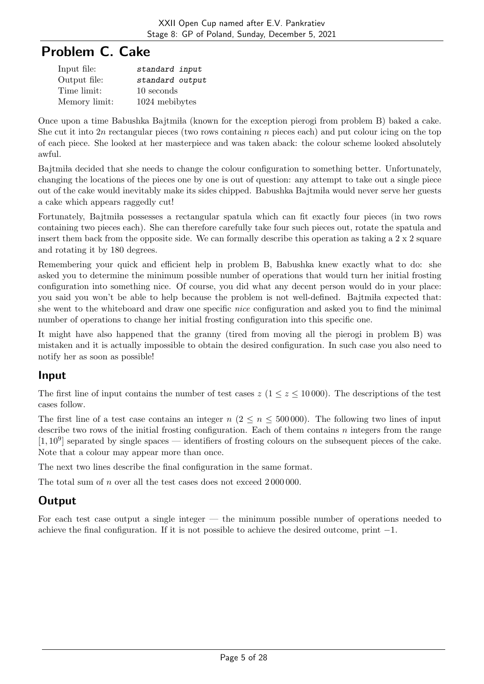# Problem C. Cake

| Input file:   | standard input  |
|---------------|-----------------|
| Output file:  | standard output |
| Time limit:   | 10 seconds      |
| Memory limit: | 1024 mebibytes  |

Once upon a time Babushka Bajtmila (known for the exception pierogi from problem B) baked a cake. She cut it into 2n rectangular pieces (two rows containing  $n$  pieces each) and put colour icing on the top of each piece. She looked at her masterpiece and was taken aback: the colour scheme looked absolutely awful.

Bajtmila decided that she needs to change the colour configuration to something better. Unfortunately, changing the locations of the pieces one by one is out of question: any attempt to take out a single piece out of the cake would inevitably make its sides chipped. Babushka Bajtmila would never serve her guests a cake which appears raggedly cut!

Fortunately, Bajtmila possesses a rectangular spatula which can fit exactly four pieces (in two rows containing two pieces each). She can therefore carefully take four such pieces out, rotate the spatula and insert them back from the opposite side. We can formally describe this operation as taking a 2 x 2 square and rotating it by 180 degrees.

Remembering your quick and efficient help in problem B, Babushka knew exactly what to do: she asked you to determine the minimum possible number of operations that would turn her initial frosting configuration into something nice. Of course, you did what any decent person would do in your place: you said you won't be able to help because the problem is not well-defined. Bajtmila expected that: she went to the whiteboard and draw one specific nice configuration and asked you to find the minimal number of operations to change her initial frosting configuration into this specific one.

It might have also happened that the granny (tired from moving all the pierogi in problem B) was mistaken and it is actually impossible to obtain the desired configuration. In such case you also need to notify her as soon as possible!

## Input

The first line of input contains the number of test cases  $z$  ( $1 \le z \le 10000$ ). The descriptions of the test cases follow.

The first line of a test case contains an integer  $n (2 \le n \le 500000)$ . The following two lines of input describe two rows of the initial frosting configuration. Each of them contains  $n$  integers from the range  $[1, 10^9]$  separated by single spaces — identifiers of frosting colours on the subsequent pieces of the cake. Note that a colour may appear more than once.

The next two lines describe the final configuration in the same format.

The total sum of  $n$  over all the test cases does not exceed  $2000000$ .

## **Output**

For each test case output a single integer — the minimum possible number of operations needed to achieve the final configuration. If it is not possible to achieve the desired outcome, print  $-1$ .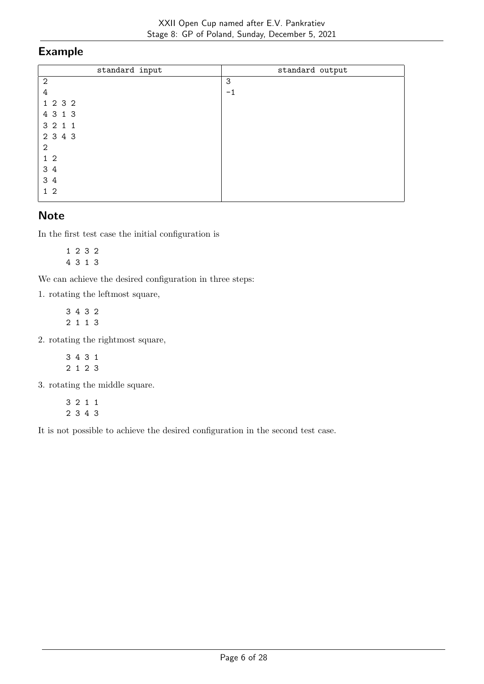| standard input | standard output |
|----------------|-----------------|
| $\mathbf{2}$   | 3               |
| 4              | $-1$            |
| 1 2 3 2        |                 |
| 4 3 1 3        |                 |
| 3 2 1 1        |                 |
| 2 3 4 3        |                 |
| $\mathbf{2}$   |                 |
| $1\quad2$      |                 |
| 3 4            |                 |
| 3 4            |                 |
| 1 <sub>2</sub> |                 |

#### **Note**

In the first test case the initial configuration is

1 2 3 2 4 3 1 3

We can achieve the desired configuration in three steps:

1. rotating the leftmost square,

3 4 3 2 2 1 1 3

2. rotating the rightmost square,

3 4 3 1 2 1 2 3

3. rotating the middle square.

3 2 1 1 2 3 4 3

It is not possible to achieve the desired configuration in the second test case.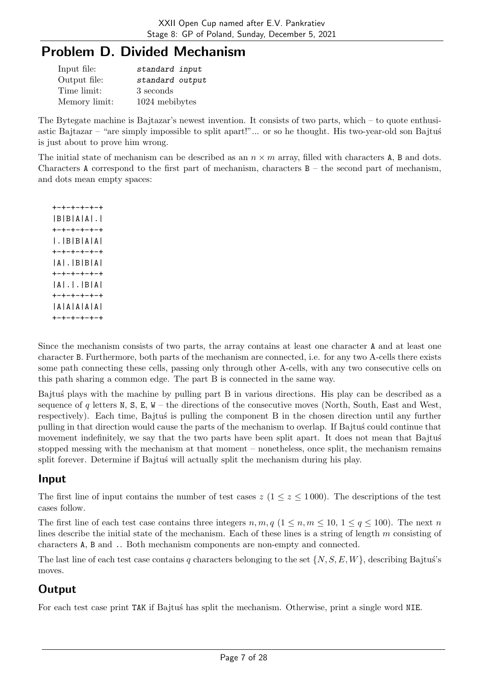# Problem D. Divided Mechanism

| Input file:   | standard input  |
|---------------|-----------------|
| Output file:  | standard output |
| Time limit:   | 3 seconds       |
| Memory limit: | 1024 mebibytes  |

The Bytegate machine is Bajtazar's newest invention. It consists of two parts, which – to quote enthusiastic Bajtazar – "are simply impossible to split apart!"... or so he thought. His two-year-old son Bajtus is just about to prove him wrong.

The initial state of mechanism can be described as an  $n \times m$  array, filled with characters A, B and dots. Characters A correspond to the first part of mechanism, characters  $B -$  the second part of mechanism, and dots mean empty spaces:

+-+-+-+-+-+ |B|B|A|A|.| +-+-+-+-+-+ |.|B|B|A|A| +-+-+-+-+-+ |A|.|B|B|A| +-+-+-+-+-+ |A|.|.|B|A| +-+-+-+-+-+ |A|A|A|A|A| +-+-+-+-+-+

Since the mechanism consists of two parts, the array contains at least one character A and at least one character B. Furthermore, both parts of the mechanism are connected, i.e. for any two A-cells there exists some path connecting these cells, passing only through other A-cells, with any two consecutive cells on this path sharing a common edge. The part B is connected in the same way.

Bajtu's plays with the machine by pulling part B in various directions. His play can be described as a sequence of  $q$  letters N, S, E, W – the directions of the consecutive moves (North, South, East and West, respectively). Each time, Bajtus' is pulling the component B in the chosen direction until any further pulling in that direction would cause the parts of the mechanism to overlap. If Bajtus' could continue that movement indefinitely, we say that the two parts have been split apart. It does not mean that Bajtus stopped messing with the mechanism at that moment – nonetheless, once split, the mechanism remains split forever. Determine if Bajtus' will actually split the mechanism during his play.

## Input

The first line of input contains the number of test cases  $z$  ( $1 \le z \le 1000$ ). The descriptions of the test cases follow.

The first line of each test case contains three integers  $n, m, q$   $(1 \leq n, m \leq 10, 1 \leq q \leq 100)$ . The next n lines describe the initial state of the mechanism. Each of these lines is a string of length  $m$  consisting of characters A, B and .. Both mechanism components are non-empty and connected.

The last line of each test case contains q characters belonging to the set  $\{N, S, E, W\}$ , describing Bajtus's moves.

# **Output**

For each test case print TAK if Bajtus' has split the mechanism. Otherwise, print a single word NIE.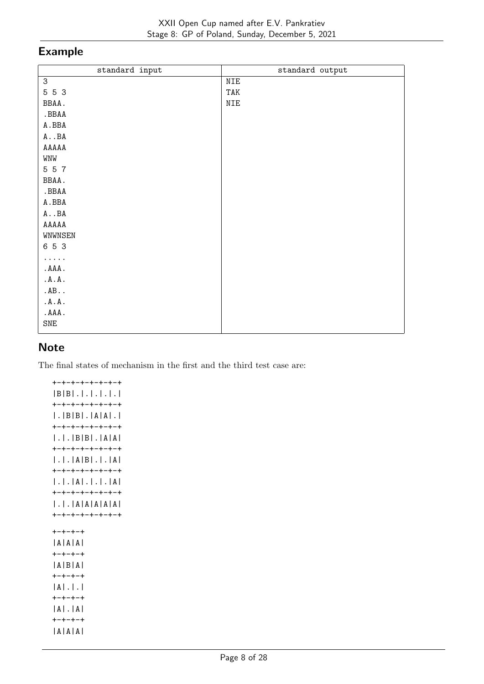| standard input     | standard output |
|--------------------|-----------------|
| 3                  | NIE             |
| 5 5 3              | TAK             |
| BBAA.              | NIE             |
| .BBAA              |                 |
| $\tt A$ . BBA      |                 |
| $A \cdot B A$      |                 |
| ${\tt AAAAA}$      |                 |
| WNW                |                 |
| 5 5 7              |                 |
| BBAA.              |                 |
| .BBAA              |                 |
| $\tt A$ . BBA      |                 |
| $\tt A \t\t\t. BA$ |                 |
| ${\tt AAAAA}$      |                 |
| WNWNSEN            |                 |
| 6 5 3              |                 |
| .                  |                 |
| .AAA.              |                 |
| .A.A.              |                 |
| AB                 |                 |
| .A.A.              |                 |
| .AAA.              |                 |
| SNE                |                 |
|                    |                 |

### **Note**

The final states of mechanism in the first and the third test case are:

+-+-+-+-+-+-+-+ |B|B|.|.|.|.|.| +-+-+-+-+-+-+-+ |.|B|B|.|A|A|.| +-+-+-+-+-+-+-+ |.|.|B|B|.|A|A| +-+-+-+-+-+-+-+ |.|.|A|B|.|.|A| +-+-+-+-+-+-+-+ |.|.|A|.|.|.|A| +-+-+-+-+-+-+-+ |.|.|A|A|A|A|A| +-+-+-+-+-+-+-+ +-+-+-+ |A|A|A| +-+-+-+ |A|B|A| +-+-+-+ |A|.|.| +-+-+-+ |A|.|A| +-+-+-+ |A|A|A|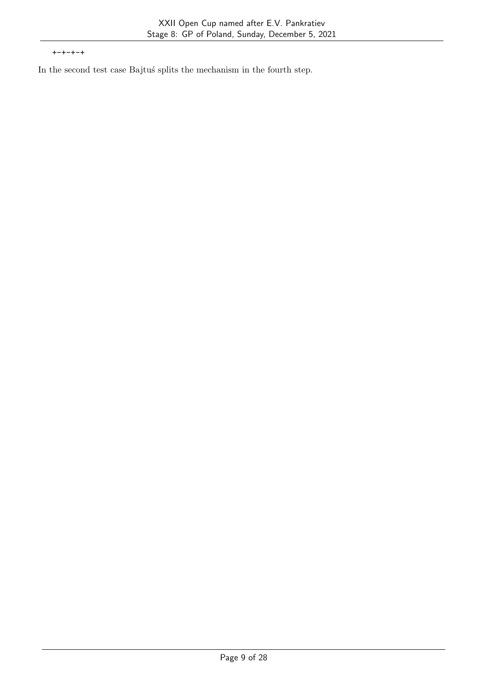+-+-+-+

In the second test case Bajtuś splits the mechanism in the fourth step.  $\;$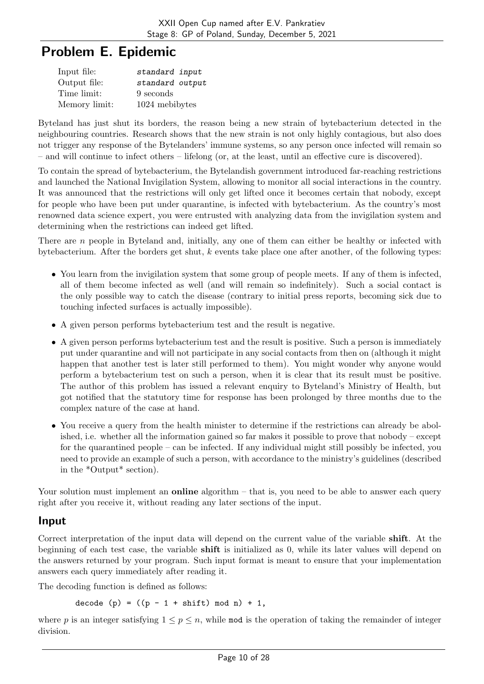# Problem E. Epidemic

| Input file:   | standard input  |
|---------------|-----------------|
| Output file:  | standard output |
| Time limit:   | 9 seconds       |
| Memory limit: | 1024 mebibytes  |

Byteland has just shut its borders, the reason being a new strain of bytebacterium detected in the neighbouring countries. Research shows that the new strain is not only highly contagious, but also does not trigger any response of the Bytelanders' immune systems, so any person once infected will remain so – and will continue to infect others – lifelong (or, at the least, until an effective cure is discovered).

To contain the spread of bytebacterium, the Bytelandish government introduced far-reaching restrictions and launched the National Invigilation System, allowing to monitor all social interactions in the country. It was announced that the restrictions will only get lifted once it becomes certain that nobody, except for people who have been put under quarantine, is infected with bytebacterium. As the country's most renowned data science expert, you were entrusted with analyzing data from the invigilation system and determining when the restrictions can indeed get lifted.

There are  $n$  people in Byteland and, initially, any one of them can either be healthy or infected with bytebacterium. After the borders get shut,  $k$  events take place one after another, of the following types:

- You learn from the invigilation system that some group of people meets. If any of them is infected, all of them become infected as well (and will remain so indefinitely). Such a social contact is the only possible way to catch the disease (contrary to initial press reports, becoming sick due to touching infected surfaces is actually impossible).
- A given person performs bytebacterium test and the result is negative.
- A given person performs bytebacterium test and the result is positive. Such a person is immediately put under quarantine and will not participate in any social contacts from then on (although it might happen that another test is later still performed to them). You might wonder why anyone would perform a bytebacterium test on such a person, when it is clear that its result must be positive. The author of this problem has issued a relevant enquiry to Byteland's Ministry of Health, but got notified that the statutory time for response has been prolonged by three months due to the complex nature of the case at hand.
- You receive a query from the health minister to determine if the restrictions can already be abolished, i.e. whether all the information gained so far makes it possible to prove that nobody – except for the quarantined people – can be infected. If any individual might still possibly be infected, you need to provide an example of such a person, with accordance to the ministry's guidelines (described in the \*Output\* section).

Your solution must implement an **online** algorithm  $-$  that is, you need to be able to answer each query right after you receive it, without reading any later sections of the input.

## Input

Correct interpretation of the input data will depend on the current value of the variable shift. At the beginning of each test case, the variable shift is initialized as 0, while its later values will depend on the answers returned by your program. Such input format is meant to ensure that your implementation answers each query immediately after reading it.

The decoding function is defined as follows:

decode (p) =  $((p - 1 + shift) mod n) + 1$ ,

where p is an integer satisfying  $1 \le p \le n$ , while mod is the operation of taking the remainder of integer division.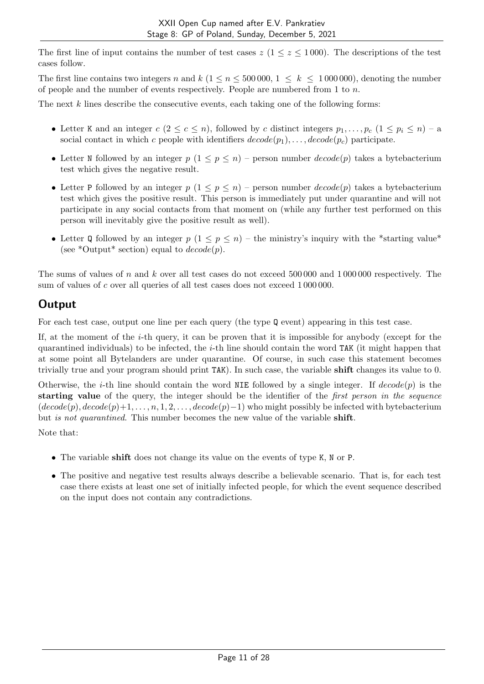The first line of input contains the number of test cases  $z$  ( $1 \le z \le 1000$ ). The descriptions of the test cases follow.

The first line contains two integers n and  $k$  ( $1 \le n \le 500000$ ,  $1 \le k \le 1000000$ ), denoting the number of people and the number of events respectively. People are numbered from 1 to  $n$ .

The next  $k$  lines describe the consecutive events, each taking one of the following forms:

- Letter K and an integer  $c (2 \leq c \leq n)$ , followed by c distinct integers  $p_1, \ldots, p_c$   $(1 \leq p_i \leq n) a$ social contact in which c people with identifiers  $decode(p_1), \ldots, decode(p_c)$  participate.
- Letter N followed by an integer  $p(1 \leq p \leq n)$  person number  $decode(p)$  takes a bytebacterium test which gives the negative result.
- Letter P followed by an integer  $p(1 \leq p \leq n)$  person number  $decode(p)$  takes a bytebacterium test which gives the positive result. This person is immediately put under quarantine and will not participate in any social contacts from that moment on (while any further test performed on this person will inevitably give the positive result as well).
- Letter Q followed by an integer  $p(1 \leq p \leq n)$  the ministry's inquiry with the \*starting value\* (see \*Output\* section) equal to  $decode(p)$ .

The sums of values of  $n$  and  $k$  over all test cases do not exceed 500 000 and 1 000 000 respectively. The sum of values of c over all queries of all test cases does not exceed 1000000.

## **Output**

For each test case, output one line per each query (the type Q event) appearing in this test case.

If, at the moment of the  $i$ -th query, it can be proven that it is impossible for anybody (except for the quarantined individuals) to be infected, the  $i$ -th line should contain the word TAK (it might happen that at some point all Bytelanders are under quarantine. Of course, in such case this statement becomes trivially true and your program should print TAK). In such case, the variable shift changes its value to 0.

Otherwise, the *i*-th line should contain the word NIE followed by a single integer. If  $decode(p)$  is the starting value of the query, the integer should be the identifier of the *first person in the sequence*  $(decode(p), decode(p)+1, \ldots, n, 1, 2, \ldots, decode(p)-1)$  who might possibly be infected with bytebacterium but is not quarantined. This number becomes the new value of the variable shift.

Note that:

- The variable shift does not change its value on the events of type K, N or P.
- The positive and negative test results always describe a believable scenario. That is, for each test case there exists at least one set of initially infected people, for which the event sequence described on the input does not contain any contradictions.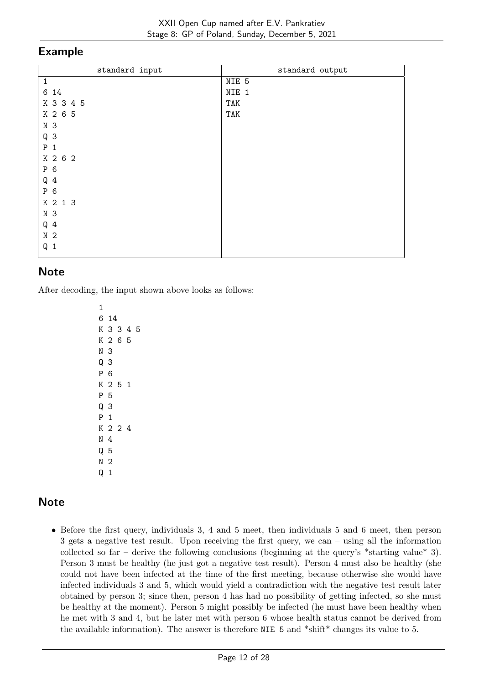| standard input | standard output |
|----------------|-----------------|
| $\mathbf{1}$   | NIE 5           |
| 6 14           | NIE 1           |
| K 3 3 4 5      | TAK             |
| K 2 6 5        | TAK             |
| N <sub>3</sub> |                 |
| Q <sub>3</sub> |                 |
| $P_1$          |                 |
| K 2 6 2        |                 |
| P 6            |                 |
| $Q_4$          |                 |
| P 6            |                 |
| K 2 1 3        |                 |
| N 3            |                 |
| $Q_4$          |                 |
| N <sub>2</sub> |                 |
| Q <sub>1</sub> |                 |
|                |                 |

## **Note**

After decoding, the input shown above looks as follows:

# **Note**

• Before the first query, individuals 3, 4 and 5 meet, then individuals 5 and 6 meet, then person 3 gets a negative test result. Upon receiving the first query, we can – using all the information collected so far – derive the following conclusions (beginning at the query's  $*$ starting value $*$  3). Person 3 must be healthy (he just got a negative test result). Person 4 must also be healthy (she could not have been infected at the time of the first meeting, because otherwise she would have infected individuals 3 and 5, which would yield a contradiction with the negative test result later obtained by person 3; since then, person 4 has had no possibility of getting infected, so she must be healthy at the moment). Person 5 might possibly be infected (he must have been healthy when he met with 3 and 4, but he later met with person 6 whose health status cannot be derived from the available information). The answer is therefore NIE 5 and \*shift\* changes its value to 5.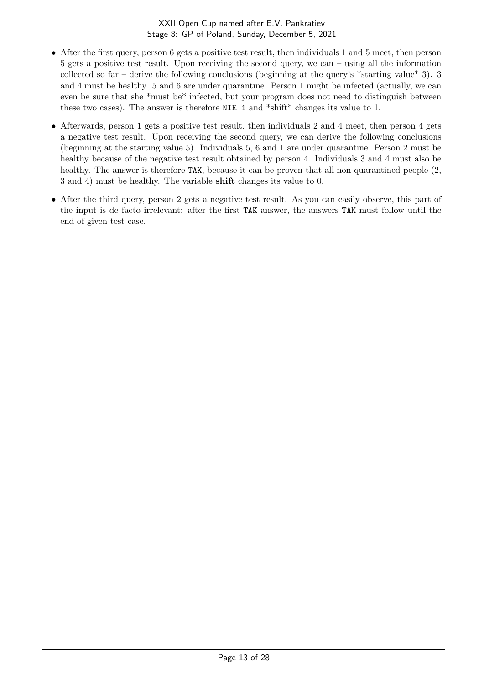- After the first query, person 6 gets a positive test result, then individuals 1 and 5 meet, then person 5 gets a positive test result. Upon receiving the second query, we can – using all the information collected so far – derive the following conclusions (beginning at the query's \*starting value\* 3). 3 and 4 must be healthy. 5 and 6 are under quarantine. Person 1 might be infected (actually, we can even be sure that she \*must be\* infected, but your program does not need to distinguish between these two cases). The answer is therefore NIE 1 and \*shift\* changes its value to 1.
- Afterwards, person 1 gets a positive test result, then individuals 2 and 4 meet, then person 4 gets a negative test result. Upon receiving the second query, we can derive the following conclusions (beginning at the starting value 5). Individuals 5, 6 and 1 are under quarantine. Person 2 must be healthy because of the negative test result obtained by person 4. Individuals 3 and 4 must also be healthy. The answer is therefore TAK, because it can be proven that all non-quarantined people  $(2, 1)$ 3 and 4) must be healthy. The variable shift changes its value to 0.
- After the third query, person 2 gets a negative test result. As you can easily observe, this part of the input is de facto irrelevant: after the first TAK answer, the answers TAK must follow until the end of given test case.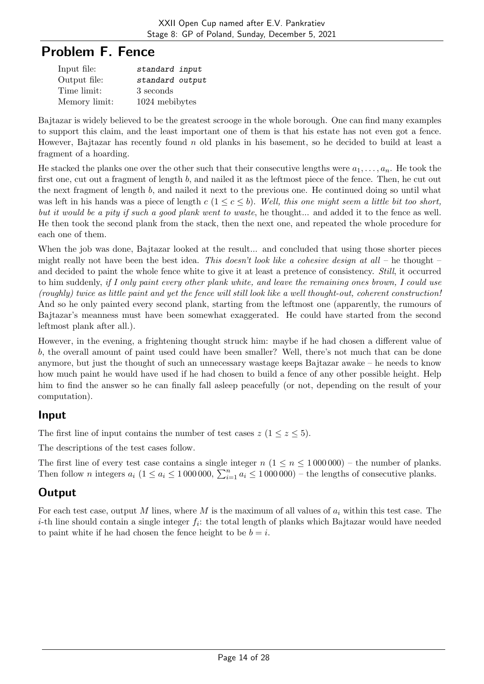# Problem F. Fence

| Input file:   | standard input  |
|---------------|-----------------|
| Output file:  | standard output |
| Time limit:   | 3 seconds       |
| Memory limit: | 1024 mebibytes  |

Bajtazar is widely believed to be the greatest scrooge in the whole borough. One can find many examples to support this claim, and the least important one of them is that his estate has not even got a fence. However, Bajtazar has recently found  $n$  old planks in his basement, so he decided to build at least a fragment of a hoarding.

He stacked the planks one over the other such that their consecutive lengths were  $a_1, \ldots, a_n$ . He took the first one, cut out a fragment of length  $b$ , and nailed it as the leftmost piece of the fence. Then, he cut out the next fragment of length  $b$ , and nailed it next to the previous one. He continued doing so until what was left in his hands was a piece of length  $c (1 \leq c \leq b)$ . Well, this one might seem a little bit too short, but it would be a pity if such a good plank went to waste, he thought... and added it to the fence as well. He then took the second plank from the stack, then the next one, and repeated the whole procedure for each one of them.

When the job was done, Bajtazar looked at the result... and concluded that using those shorter pieces might really not have been the best idea. This doesn't look like a cohesive design at all – he thought – and decided to paint the whole fence white to give it at least a pretence of consistency. Still, it occurred to him suddenly, if I only paint every other plank white, and leave the remaining ones brown, I could use (roughly) twice as little paint and yet the fence will still look like a well thought-out, coherent construction! And so he only painted every second plank, starting from the leftmost one (apparently, the rumours of Bajtazar's meanness must have been somewhat exaggerated. He could have started from the second leftmost plank after all.).

However, in the evening, a frightening thought struck him: maybe if he had chosen a different value of , the overall amount of paint used could have been smaller? Well, there's not much that can be done anymore, but just the thought of such an unnecessary wastage keeps Bajtazar awake – he needs to know how much paint he would have used if he had chosen to build a fence of any other possible height. Help him to find the answer so he can finally fall asleep peacefully (or not, depending on the result of your computation).

## Input

The first line of input contains the number of test cases  $z$  ( $1 \le z \le 5$ ).

The descriptions of the test cases follow.

The first line of every test case contains a single integer  $n (1 \le n \le 1000000)$  – the number of planks. Then follow *n* integers  $a_i$  ( $1 \le a_i \le 1000000$ ,  $\sum_{i=1}^n a_i \le 1000000$ ) – the lengths of consecutive planks.

## **Output**

For each test case, output M lines, where M is the maximum of all values of  $a_i$  within this test case. The *i*-th line should contain a single integer  $f_i$ : the total length of planks which Bajtazar would have needed to paint white if he had chosen the fence height to be  $b = i$ .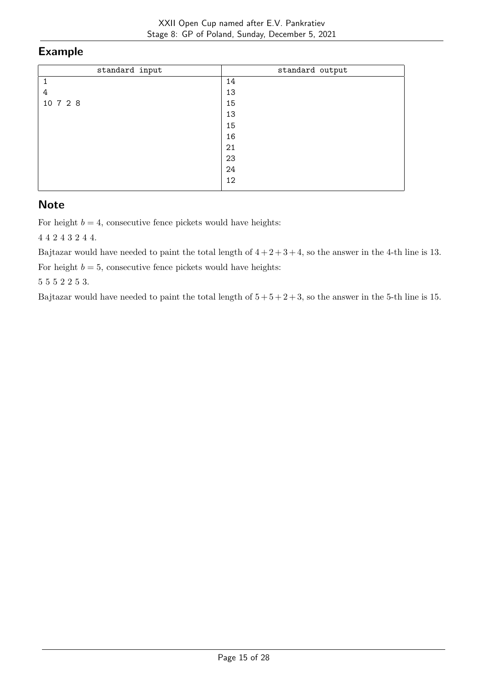| standard input | standard output |
|----------------|-----------------|
|                | 14              |
| 4              | 13              |
| 10 7 2 8       | 15              |
|                | 13              |
|                | 15              |
|                | 16              |
|                | 21              |
|                | 23              |
|                | 24              |
|                | 12              |
|                |                 |

## **Note**

For height  $b = 4$ , consecutive fence pickets would have heights:

4 4 2 4 3 2 4 4.

Bajtazar would have needed to paint the total length of  $4 + 2 + 3 + 4$ , so the answer in the 4-th line is 13.

For height  $b = 5$ , consecutive fence pickets would have heights:

5 5 5 2 2 5 3.

Bajtazar would have needed to paint the total length of  $5 + 5 + 2 + 3$ , so the answer in the 5-th line is 15.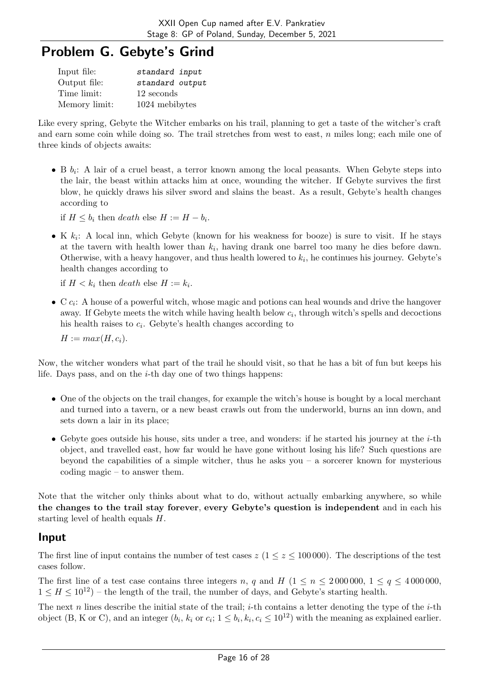# Problem G. Gebyte's Grind

| Input file:   | standard input  |
|---------------|-----------------|
| Output file:  | standard output |
| Time limit:   | 12 seconds      |
| Memory limit: | 1024 mebibytes  |

Like every spring, Gebyte the Witcher embarks on his trail, planning to get a taste of the witcher's craft and earn some coin while doing so. The trail stretches from west to east,  $n$  miles long; each mile one of three kinds of objects awaits:

• B  $b_i$ : A lair of a cruel beast, a terror known among the local peasants. When Gebyte steps into the lair, the beast within attacks him at once, wounding the witcher. If Gebyte survives the first blow, he quickly draws his silver sword and slains the beast. As a result, Gebyte's health changes according to

if  $H \leq b_i$  then *death* else  $H := H - b_i$ .

• K  $k_i$ : A local inn, which Gebyte (known for his weakness for booze) is sure to visit. If he stays at the tavern with health lower than  $k_i$ , having drank one barrel too many he dies before dawn. Otherwise, with a heavy hangover, and thus health lowered to  $k_i$ , he continues his journey. Gebyte's health changes according to

if  $H < k_i$  then *death* else  $H := k_i$ .

 $\bullet$  C  $c_i$ : A house of a powerful witch, whose magic and potions can heal wounds and drive the hangover away. If Gebyte meets the witch while having health below  $c_i$ , through witch's spells and decoctions his health raises to  $c_i$ . Gebyte's health changes according to

 $H := max(H, c_i).$ 

Now, the witcher wonders what part of the trail he should visit, so that he has a bit of fun but keeps his life. Days pass, and on the  $i$ -th day one of two things happens:

- One of the objects on the trail changes, for example the witch's house is bought by a local merchant and turned into a tavern, or a new beast crawls out from the underworld, burns an inn down, and sets down a lair in its place;
- Gebyte goes outside his house, sits under a tree, and wonders: if he started his journey at the  $i$ -th object, and travelled east, how far would he have gone without losing his life? Such questions are beyond the capabilities of a simple witcher, thus he asks you – a sorcerer known for mysterious coding magic – to answer them.

Note that the witcher only thinks about what to do, without actually embarking anywhere, so while the changes to the trail stay forever, every Gebyte's question is independent and in each his starting level of health equals  $H$ .

#### Input

The first line of input contains the number of test cases  $z/(1 \le z \le 100000)$ . The descriptions of the test cases follow.

The first line of a test case contains three integers n, q and H  $(1 \le n \le 2000000, 1 \le q \le 4000000,$  $1 \leq H \leq 10^{12}$ ) – the length of the trail, the number of days, and Gebyte's starting health.

The next *n* lines describe the initial state of the trail; *i*-th contains a letter denoting the type of the *i*-th object (B, K or C), and an integer  $(b_i, k_i$  or  $c_i$ ;  $1 \leq b_i, k_i, c_i \leq 10^{12}$ ) with the meaning as explained earlier.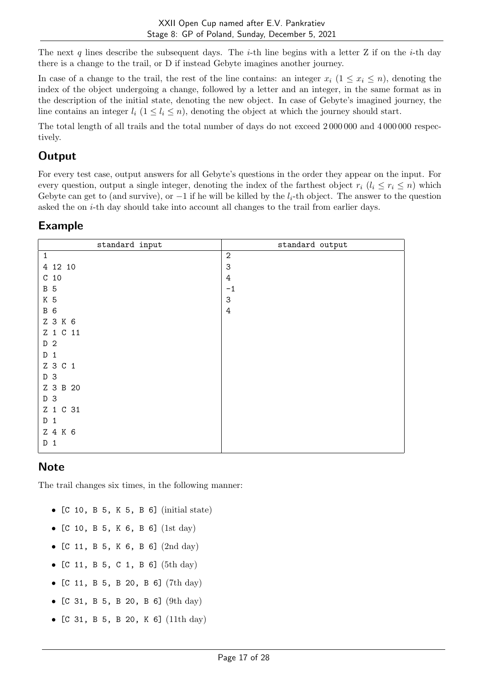The next q lines describe the subsequent days. The *i*-th line begins with a letter Z if on the *i*-th day there is a change to the trail, or D if instead Gebyte imagines another journey.

In case of a change to the trail, the rest of the line contains: an integer  $x_i$   $(1 \leq x_i \leq n)$ , denoting the index of the object undergoing a change, followed by a letter and an integer, in the same format as in the description of the initial state, denoting the new object. In case of Gebyte's imagined journey, the line contains an integer  $l_i$   $(1 \leq l_i \leq n)$ , denoting the object at which the journey should start.

The total length of all trails and the total number of days do not exceed 2 000 000 and 4 000 000 respectively.

## **Output**

For every test case, output answers for all Gebyte's questions in the order they appear on the input. For every question, output a single integer, denoting the index of the farthest object  $r_i$   $(l_i \leq r_i \leq n)$  which Gebyte can get to (and survive), or  $-1$  if he will be killed by the  $l_i$ -th object. The answer to the question asked the on  $i$ -th day should take into account all changes to the trail from earlier days.

### Example

| standard input  | standard output |
|-----------------|-----------------|
| $\mathbf{1}$    | $\overline{2}$  |
| 4 12 10         | 3               |
| C <sub>10</sub> | 4               |
| <b>B</b> 5      | $-1$            |
| K 5             | 3               |
| <b>B</b> 6      | 4               |
| Z 3 K 6         |                 |
| Z 1 C 11        |                 |
| D <sub>2</sub>  |                 |
| $D_1$           |                 |
| Z 3 C 1         |                 |
| D 3             |                 |
| Z 3 B 20        |                 |
| D 3             |                 |
| Z 1 C 31        |                 |
| $D_1$           |                 |
| Z 4 K 6         |                 |
| D<br>1          |                 |
|                 |                 |

## **Note**

The trail changes six times, in the following manner:

- [C 10, B 5, K 5, B 6] (initial state)
- [C 10, B 5, K 6, B 6] (1st day)
- [C 11, B 5, K 6, B 6] (2nd day)
- [C 11, B 5, C 1, B 6] (5th day)
- [C 11, B 5, B 20, B 6] (7th day)
- [C 31, B 5, B 20, B 6] (9th day)
- [C 31, B 5, B 20, K 6] (11th day)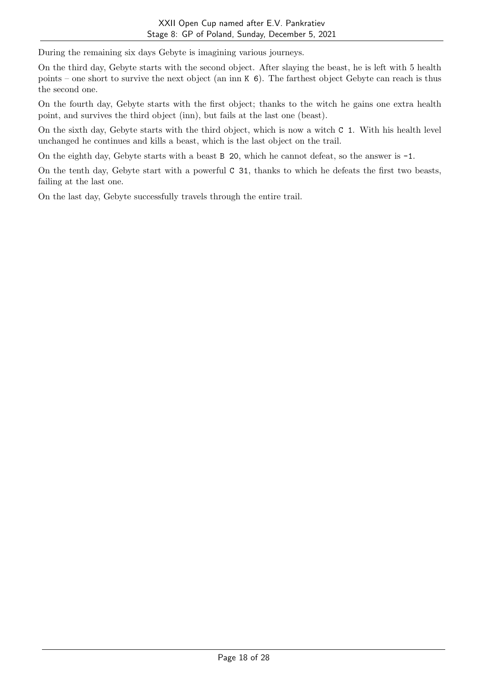During the remaining six days Gebyte is imagining various journeys.

On the third day, Gebyte starts with the second object. After slaying the beast, he is left with 5 health points – one short to survive the next object (an inn K 6). The farthest object Gebyte can reach is thus the second one.

On the fourth day, Gebyte starts with the first object; thanks to the witch he gains one extra health point, and survives the third object (inn), but fails at the last one (beast).

On the sixth day, Gebyte starts with the third object, which is now a witch C 1. With his health level unchanged he continues and kills a beast, which is the last object on the trail.

On the eighth day, Gebyte starts with a beast B 20, which he cannot defeat, so the answer is -1.

On the tenth day, Gebyte start with a powerful C 31, thanks to which he defeats the first two beasts, failing at the last one.

On the last day, Gebyte successfully travels through the entire trail.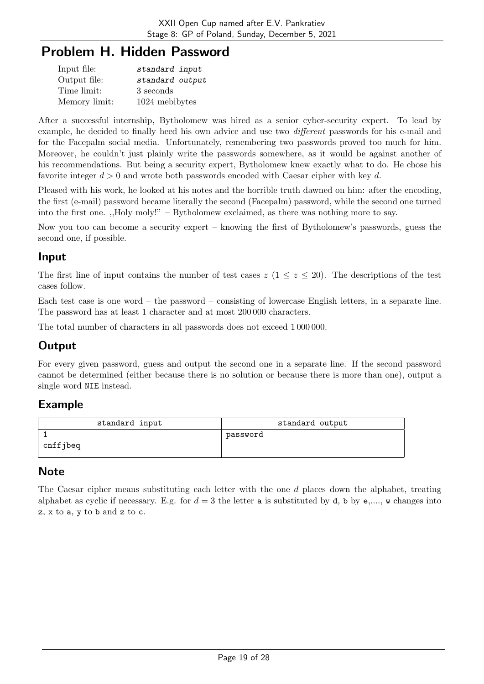# Problem H. Hidden Password

| Input file:   | standard input  |
|---------------|-----------------|
| Output file:  | standard output |
| Time limit:   | 3 seconds       |
| Memory limit: | 1024 mebibytes  |

After a successful internship, Bytholomew was hired as a senior cyber-security expert. To lead by example, he decided to finally heed his own advice and use two different passwords for his e-mail and for the Facepalm social media. Unfortunately, remembering two passwords proved too much for him. Moreover, he couldn't just plainly write the passwords somewhere, as it would be against another of his recommendations. But being a security expert, Bytholomew knew exactly what to do. He chose his favorite integer  $d > 0$  and wrote both passwords encoded with Caesar cipher with key d.

Pleased with his work, he looked at his notes and the horrible truth dawned on him: after the encoding, the first (e-mail) password became literally the second (Facepalm) password, while the second one turned into the first one. ,,Holy moly!" – Bytholomew exclaimed, as there was nothing more to say.

Now you too can become a security expert – knowing the first of Bytholomew's passwords, guess the second one, if possible.

## Input

The first line of input contains the number of test cases  $z$  ( $1 \leq z \leq 20$ ). The descriptions of the test cases follow.

Each test case is one word – the password – consisting of lowercase English letters, in a separate line. The password has at least 1 character and at most 200 000 characters.

The total number of characters in all passwords does not exceed 1 000 000.

# **Output**

For every given password, guess and output the second one in a separate line. If the second password cannot be determined (either because there is no solution or because there is more than one), output a single word NIE instead.

#### Example

| standard input | standard output |
|----------------|-----------------|
| cnffjbeq       | password        |

## **Note**

The Caesar cipher means substituting each letter with the one  $d$  places down the alphabet, treating alphabet as cyclic if necessary. E.g. for  $d=3$  the letter a is substituted by d, b by e,..., w changes into z, x to a, y to b and z to c.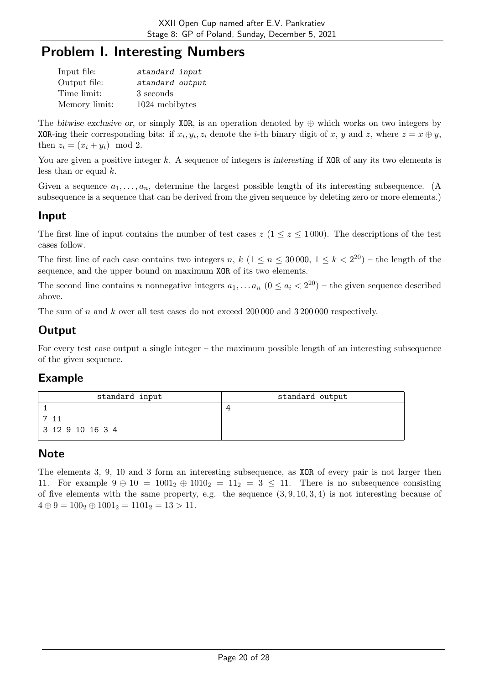# Problem I. Interesting Numbers

| Input file:   | standard input  |
|---------------|-----------------|
| Output file:  | standard output |
| Time limit:   | 3 seconds       |
| Memory limit: | 1024 mebibytes  |

The bitwise exclusive or, or simply XOR, is an operation denoted by  $\oplus$  which works on two integers by XOR-ing their corresponding bits: if  $x_i, y_i, z_i$  denote the *i*-th binary digit of x, y and z, where  $z = x \oplus y$ , then  $z_i = (x_i + y_i) \mod 2$ .

You are given a positive integer  $k$ . A sequence of integers is interesting if XOR of any its two elements is less than or equal  $k$ .

Given a sequence  $a_1, \ldots, a_n$ , determine the largest possible length of its interesting subsequence. (A subsequence is a sequence that can be derived from the given sequence by deleting zero or more elements.)

### Input

The first line of input contains the number of test cases  $z$  ( $1 \le z \le 1000$ ). The descriptions of the test cases follow.

The first line of each case contains two integers n,  $k$   $(1 \le n \le 30000, 1 \le k < 2^{20})$  – the length of the sequence, and the upper bound on maximum XOR of its two elements.

The second line contains *n* nonnegative integers  $a_1, \ldots, a_n$   $(0 \le a_i < 2^{20})$  – the given sequence described above.

The sum of  $n$  and  $k$  over all test cases do not exceed 200 000 and 3 200 000 respectively.

## **Output**

For every test case output a single integer – the maximum possible length of an interesting subsequence of the given sequence.

#### Example

| standard input   | standard output |
|------------------|-----------------|
|                  |                 |
|                  |                 |
| 3 12 9 10 16 3 4 |                 |

#### Note

The elements 3, 9, 10 and 3 form an interesting subsequence, as XOR of every pair is not larger then 11. For example  $9 \oplus 10 = 1001_2 \oplus 1010_2 = 11_2 = 3 \le 11$ . There is no subsequence consisting of five elements with the same property, e.g. the sequence  $(3, 9, 10, 3, 4)$  is not interesting because of  $4 \oplus 9 = 100_2 \oplus 1001_2 = 1101_2 = 13 > 11.$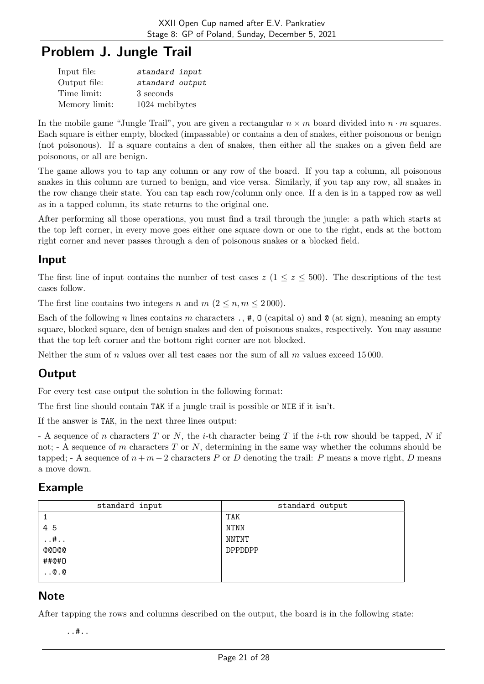# Problem J. Jungle Trail

| Input file:   | standard input  |
|---------------|-----------------|
| Output file:  | standard output |
| Time limit:   | 3 seconds       |
| Memory limit: | 1024 mebibytes  |

In the mobile game "Jungle Trail", you are given a rectangular  $n \times m$  board divided into  $n \cdot m$  squares. Each square is either empty, blocked (impassable) or contains a den of snakes, either poisonous or benign (not poisonous). If a square contains a den of snakes, then either all the snakes on a given field are poisonous, or all are benign.

The game allows you to tap any column or any row of the board. If you tap a column, all poisonous snakes in this column are turned to benign, and vice versa. Similarly, if you tap any row, all snakes in the row change their state. You can tap each row/column only once. If a den is in a tapped row as well as in a tapped column, its state returns to the original one.

After performing all those operations, you must find a trail through the jungle: a path which starts at the top left corner, in every move goes either one square down or one to the right, ends at the bottom right corner and never passes through a den of poisonous snakes or a blocked field.

#### Input

The first line of input contains the number of test cases  $z (1 \le z \le 500)$ . The descriptions of the test cases follow.

The first line contains two integers n and  $m (2 \leq n, m \leq 2000)$ .

Each of the following *n* lines contains *m* characters .,  $\#$ ,  $\theta$  (capital o) and  $\theta$  (at sign), meaning an empty square, blocked square, den of benign snakes and den of poisonous snakes, respectively. You may assume that the top left corner and the bottom right corner are not blocked.

Neither the sum of  $n$  values over all test cases nor the sum of all  $m$  values exceed 15000.

## **Output**

For every test case output the solution in the following format:

The first line should contain TAK if a jungle trail is possible or NIE if it isn't.

If the answer is TAK, in the next three lines output:

- A sequence of *n* characters  $T$  or  $N$ , the *i*-th character being  $T$  if the *i*-th row should be tapped,  $N$  if not;  $\Delta$  - A sequence of m characters T or N, determining in the same way whether the columns should be tapped; - A sequence of  $n + m - 2$  characters P or D denoting the trail: P means a move right, D means a move down.

#### Example

| standard input | standard output |
|----------------|-----------------|
|                | TAK             |
| 45             | NTNN            |
| $\dots$ #      | NNTNT           |
| <b>@@D@@</b>   | <b>DPPDDPP</b>  |
| ##@#0          |                 |
| $\ldots 0.0$   |                 |
|                |                 |

## **Note**

After tapping the rows and columns described on the output, the board is in the following state:

..#..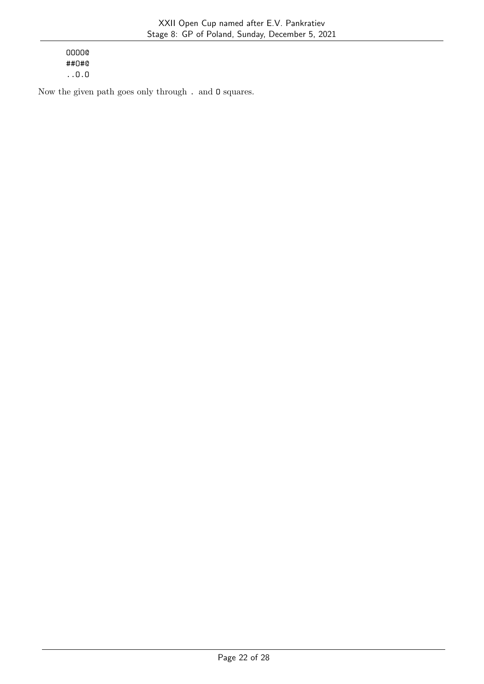OOOO@ ##O#@ ..O.O

Now the given path goes only through . and O squares.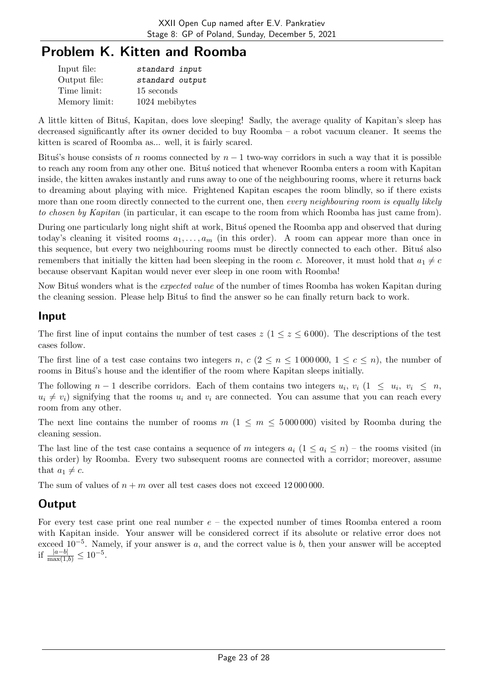# Problem K. Kitten and Roomba

| Input file:   | standard input  |
|---------------|-----------------|
| Output file:  | standard output |
| Time limit:   | 15 seconds      |
| Memory limit: | 1024 mebibytes  |

A little kitten of Bitus, Kapitan, does love sleeping! Sadly, the average quality of Kapitan's sleep has decreased significantly after its owner decided to buy Roomba – a robot vacuum cleaner. It seems the kitten is scared of Roomba as... well, it is fairly scared.

Bitus's house consists of *n* rooms connected by  $n - 1$  two-way corridors in such a way that it is possible to reach any room from any other one. Bitus noticed that whenever Roomba enters a room with Kapitan inside, the kitten awakes instantly and runs away to one of the neighbouring rooms, where it returns back to dreaming about playing with mice. Frightened Kapitan escapes the room blindly, so if there exists more than one room directly connected to the current one, then every neighbouring room is equally likely to chosen by Kapitan (in particular, it can escape to the room from which Roomba has just came from).

During one particularly long night shift at work, Bitus' opened the Roomba app and observed that during today's cleaning it visited rooms  $a_1, \ldots, a_m$  (in this order). A room can appear more than once in this sequence, but every two neighbouring rooms must be directly connected to each other. Bitus also remembers that initially the kitten had been sleeping in the room c. Moreover, it must hold that  $a_1 \neq c$ because observant Kapitan would never ever sleep in one room with Roomba!

Now Bitus wonders what is the *expected value* of the number of times Roomba has woken Kapitan during the cleaning session. Please help Bitus to find the answer so he can finally return back to work.

#### Input

The first line of input contains the number of test cases  $z$  ( $1 \le z \le 6000$ ). The descriptions of the test cases follow.

The first line of a test case contains two integers n,  $c$  ( $2 \le n \le 1000000$ ,  $1 \le c \le n$ ), the number of rooms in Bitus's house and the identifier of the room where Kapitan sleeps initially.

The following  $n-1$  describe corridors. Each of them contains two integers  $u_i, v_i$  ( $1 \leq u_i, v_i \leq n$ ,  $u_i \neq v_i$ ) signifying that the rooms  $u_i$  and  $v_i$  are connected. You can assume that you can reach every room from any other.

The next line contains the number of rooms  $m(1 \le m \le 5000000)$  visited by Roomba during the cleaning session.

The last line of the test case contains a sequence of m integers  $a_i$  (1  $\le a_i \le n$ ) – the rooms visited (in this order) by Roomba. Every two subsequent rooms are connected with a corridor; moreover, assume that  $a_1 \neq c$ .

The sum of values of  $n + m$  over all test cases does not exceed 12000000.

## **Output**

For every test case print one real number  $e$  – the expected number of times Roomba entered a room with Kapitan inside. Your answer will be considered correct if its absolute or relative error does not exceed  $10^{-5}$ . Namely, if your answer is a, and the correct value is b, then your answer will be accepted if  $\frac{|a-b|}{\max(1,b)} \leq 10^{-5}$ .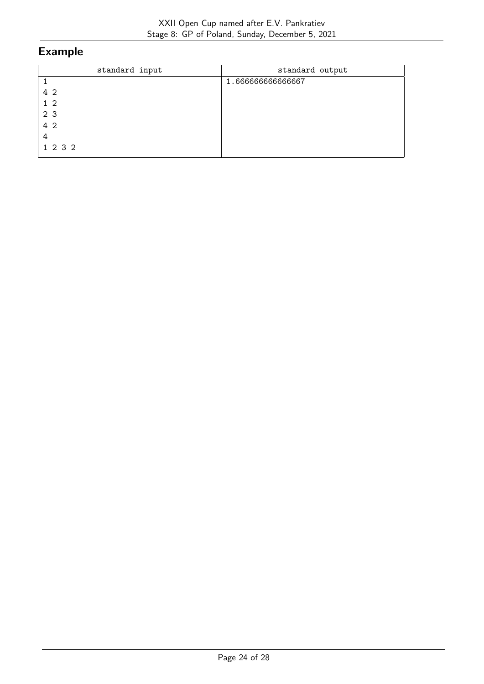| standard input | standard output  |
|----------------|------------------|
|                | 1.66666666666667 |
| 4 2            |                  |
| 1 <sub>2</sub> |                  |
| 2 <sub>3</sub> |                  |
| 4 2            |                  |
| 4              |                  |
| 1 2 3 2        |                  |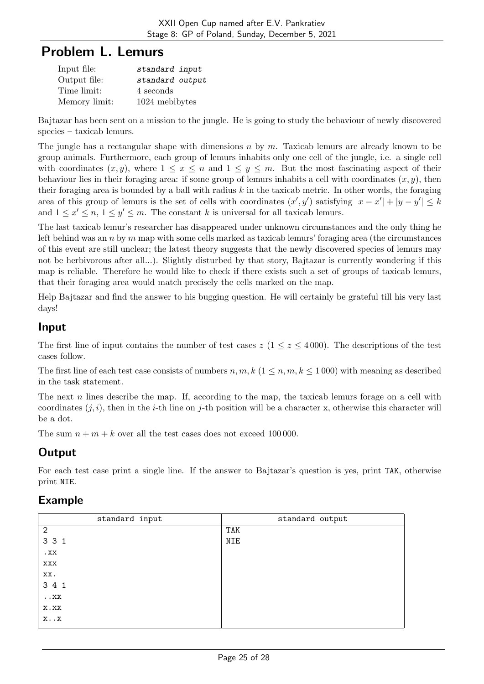# Problem L. Lemurs

| Input file:   | standard input  |
|---------------|-----------------|
| Output file:  | standard output |
| Time limit:   | 4 seconds       |
| Memory limit: | 1024 mebibytes  |

Bajtazar has been sent on a mission to the jungle. He is going to study the behaviour of newly discovered species – taxicab lemurs.

The jungle has a rectangular shape with dimensions  $n \times m$ . Taxicab lemurs are already known to be group animals. Furthermore, each group of lemurs inhabits only one cell of the jungle, i.e. a single cell with coordinates  $(x, y)$ , where  $1 \le x \le n$  and  $1 \le y \le m$ . But the most fascinating aspect of their behaviour lies in their foraging area: if some group of lemurs inhabits a cell with coordinates  $(x, y)$ , then their foraging area is bounded by a ball with radius  $k$  in the taxicab metric. In other words, the foraging area of this group of lemurs is the set of cells with coordinates  $(x', y')$  satisfying  $|x - x'| + |y - y'| \leq k$ and  $1 \leq x' \leq n, 1 \leq y' \leq m$ . The constant k is universal for all taxicab lemurs.

The last taxicab lemur's researcher has disappeared under unknown circumstances and the only thing he left behind was an  $n$  by  $m$  map with some cells marked as taxicab lemurs' foraging area (the circumstances of this event are still unclear; the latest theory suggests that the newly discovered species of lemurs may not be herbivorous after all...). Slightly disturbed by that story, Bajtazar is currently wondering if this map is reliable. Therefore he would like to check if there exists such a set of groups of taxicab lemurs, that their foraging area would match precisely the cells marked on the map.

Help Bajtazar and find the answer to his bugging question. He will certainly be grateful till his very last days!

#### Input

The first line of input contains the number of test cases  $z (1 \le z \le 4000)$ . The descriptions of the test cases follow.

The first line of each test case consists of numbers  $n, m, k$  ( $1 \leq n, m, k \leq 1000$ ) with meaning as described in the task statement.

The next  $n$  lines describe the map. If, according to the map, the taxicab lemurs forage on a cell with coordinates  $(i, i)$ , then in the *i*-th line on *j*-th position will be a character x, otherwise this character will be a dot.

The sum  $n + m + k$  over all the test cases does not exceed 100 000.

## **Output**

For each test case print a single line. If the answer to Bajtazar's question is yes, print TAK, otherwise print NIE.

## Example

| standard input           | standard output |
|--------------------------|-----------------|
| $\overline{2}$           | TAK             |
| 3 3 1                    | NIE             |
| . <sub>XX</sub>          |                 |
| XXX                      |                 |
| XX.                      |                 |
| 3 4 1                    |                 |
| $\boldsymbol{\ldots}$ XX |                 |
| X.XX                     |                 |
| $x \cdot x$              |                 |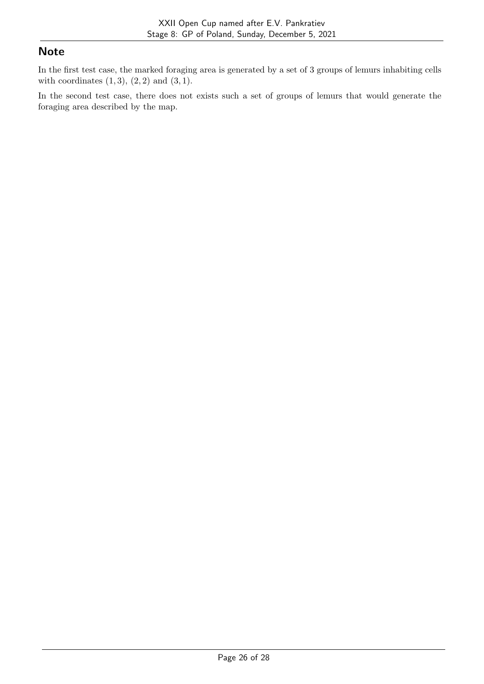### **Note**

In the first test case, the marked foraging area is generated by a set of 3 groups of lemurs inhabiting cells with coordinates  $(1, 3), (2, 2)$  and  $(3, 1)$ .

In the second test case, there does not exists such a set of groups of lemurs that would generate the foraging area described by the map.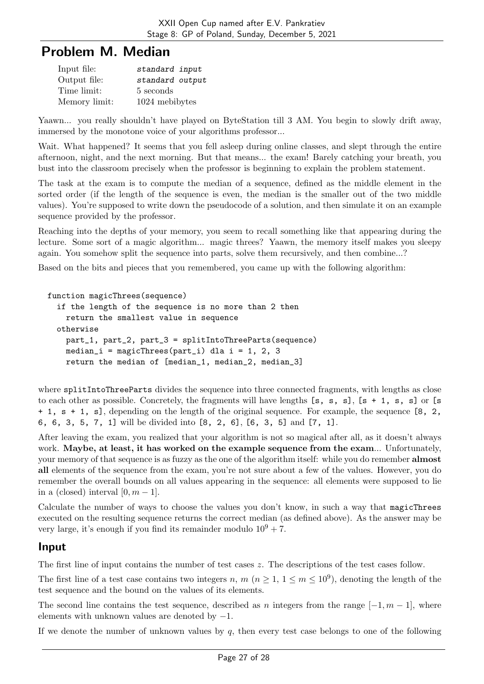# Problem M. Median

| Input file:   | standard input  |
|---------------|-----------------|
| Output file:  | standard output |
| Time limit:   | 5 seconds       |
| Memory limit: | 1024 mebibytes  |

Yaawn... you really shouldn't have played on ByteStation till 3 AM. You begin to slowly drift away, immersed by the monotone voice of your algorithms professor...

Wait. What happened? It seems that you fell asleep during online classes, and slept through the entire afternoon, night, and the next morning. But that means... the exam! Barely catching your breath, you bust into the classroom precisely when the professor is beginning to explain the problem statement.

The task at the exam is to compute the median of a sequence, defined as the middle element in the sorted order (if the length of the sequence is even, the median is the smaller out of the two middle values). You're supposed to write down the pseudocode of a solution, and then simulate it on an example sequence provided by the professor.

Reaching into the depths of your memory, you seem to recall something like that appearing during the lecture. Some sort of a magic algorithm... magic threes? Yaawn, the memory itself makes you sleepy again. You somehow split the sequence into parts, solve them recursively, and then combine...?

Based on the bits and pieces that you remembered, you came up with the following algorithm:

```
function magicThrees(sequence)
```

```
if the length of the sequence is no more than 2 then
  return the smallest value in sequence
otherwise
 part_1, part_2, part_3 = splitIntoThreeParts(sequence)
 median_i = magicThrees(part_i) dla i = 1, 2, 3
  return the median of [median_1, median_2, median_3]
```
where splitIntoThreeParts divides the sequence into three connected fragments, with lengths as close to each other as possible. Concretely, the fragments will have lengths  $[s, s, s]$ ,  $[s + 1, s, s]$  or  $[s$ + 1, s + 1, s], depending on the length of the original sequence. For example, the sequence [8, 2, 6, 6, 3, 5, 7, 1] will be divided into [8, 2, 6], [6, 3, 5] and [7, 1].

After leaving the exam, you realized that your algorithm is not so magical after all, as it doesn't always work. Maybe, at least, it has worked on the example sequence from the exam... Unfortunately, your memory of that sequence is as fuzzy as the one of the algorithm itself: while you do remember almost all elements of the sequence from the exam, you're not sure about a few of the values. However, you do remember the overall bounds on all values appearing in the sequence: all elements were supposed to lie in a (closed) interval  $[0, m-1]$ .

Calculate the number of ways to choose the values you don't know, in such a way that magicThrees executed on the resulting sequence returns the correct median (as defined above). As the answer may be very large, it's enough if you find its remainder modulo  $10^9 + 7$ .

#### Input

The first line of input contains the number of test cases  $z$ . The descriptions of the test cases follow.

The first line of a test case contains two integers n, m  $(n \geq 1, 1 \leq m \leq 10^9)$ , denoting the length of the test sequence and the bound on the values of its elements.

The second line contains the test sequence, described as *n* integers from the range  $[-1, m - 1]$ , where elements with unknown values are denoted by  $-1$ .

If we denote the number of unknown values by  $q$ , then every test case belongs to one of the following